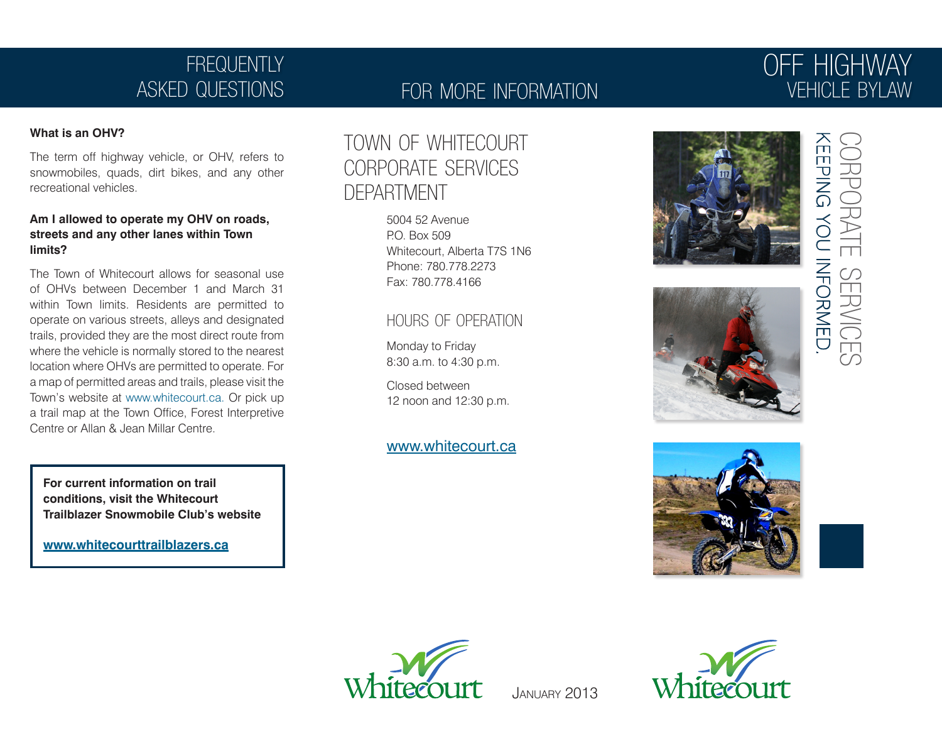# FREQUENTLY asked questions

### for more information

# off highway vehicle bylaw

#### **What is an OHV?**

The term off highway vehicle, or OHV, refers to snowmobiles, quads, dirt bikes, and any other recreational vehicles.

#### **Am I allowed to operate my OHV on roads, streets and any other lanes within Town limits?**

The Town of Whitecourt allows for seasonal use of OHVs between December 1 and March 31 within Town limits. Residents are permitted to operate on various streets, alleys and designated trails, provided they are the most direct route from where the vehicle is normally stored to the nearest location where OHVs are permitted to operate. For a map of permitted areas and trails, please visit the Town's website at www.whitecourt.ca. Or pick up a trail map at the Town Office, Forest Interpretive Centre or Allan & Jean Millar Centre.

**For current information on trail conditions, visit the Whitecourt Trailblazer Snowmobile Club's website**

**www.whitecourttrailblazers.ca**

## town of whitecourt corporate services department

5004 52 Avenue P.O. Box 509 Whitecourt, Alberta T7S 1N6 Phone: 780.778.2273 Fax: 780.778.4166

### hours of operation

Monday to Friday 8:30 a.m. to 4:30 p.m.

Closed between 12 noon and 12:30 p.m.

### www.whitecourt.ca











January 2013